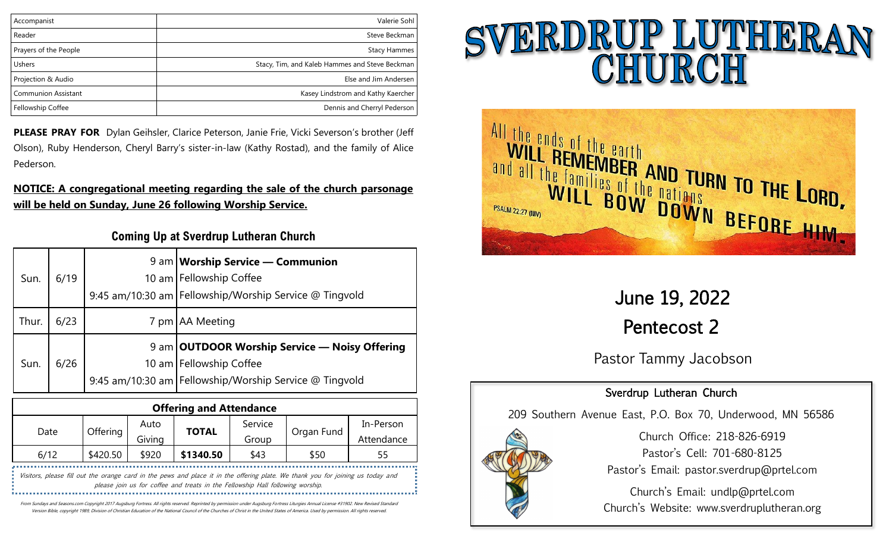| Accompanist                | Valerie Sohl                                   |
|----------------------------|------------------------------------------------|
| Reader                     | Steve Beckman                                  |
| Prayers of the People      | <b>Stacy Hammes</b>                            |
| Ushers                     | Stacy, Tim, and Kaleb Hammes and Steve Beckman |
| Projection & Audio         | Else and Jim Andersen                          |
| <b>Communion Assistant</b> | Kasey Lindstrom and Kathy Kaercher             |
| Fellowship Coffee          | Dennis and Cherryl Pederson                    |
|                            |                                                |

**PLEASE PRAY FOR** Dylan Geihsler, Clarice Peterson, Janie Frie, Vicki Severson's brother (Jeff Olson), Ruby Henderson, Cheryl Barry's sister-in-law (Kathy Rostad), and the family of Alice Pederson.

## **NOTICE: A congregational meeting regarding the sale of the church parsonage will be held on Sunday, June 26 following Worship Service.**

# **Coming Up at Sverdrup Lutheran Church**

| Sun.  | 6/19 | 9 am   Worship Service — Communion<br>10 am Fellowship Coffee<br>9:45 am/10:30 am   Fellowship/Worship Service @ Tingvold              |
|-------|------|----------------------------------------------------------------------------------------------------------------------------------------|
| Thur. | 6/23 | 7 pm   AA Meeting                                                                                                                      |
| Sun.  | 6/26 | 9 am OUTDOOR Worship Service — Noisy Offering<br>10 am   Fellowship Coffee<br>9:45 am/10:30 am   Fellowship/Worship Service @ Tingvold |

| <b>Offering and Attendance</b> |          |        |              |         |            |            |
|--------------------------------|----------|--------|--------------|---------|------------|------------|
| Date                           |          | Auto   |              | Service | Organ Fund | In-Person  |
|                                | Offering | Giving | <b>TOTAL</b> | Group   |            | Attendance |
| 6/12                           | \$420.50 | \$920  | \$1340.50    | \$43    | \$50       | 55         |
|                                |          |        |              |         |            |            |

Visitors, please fill out the orange card in the pews and place it in the offering plate. We thank you for joining us today and please join us for coffee and treats in the Fellowship Hall following worship. 

From Sundays and Seasons.com Copyright 2017 Augsburg Fortress. All rights reserved. Reprinted by permission under Augsburg Fortress Liturgies Annual License #31902. New Revised Standard Version Bible, copyright 1989, Division of Christian Education of the National Council of the Churches of Christ in the United States of America. Used by permission. All rights reserved.

# SVERDRUP LUTHERAN



June 19, 2022 Pentecost 2

Pastor Tammy Jacobson

# Sverdrup Lutheran Church

209 Southern Avenue East, P.O. Box 70, Underwood, MN 56586



Church Office: 218-826-6919 Pastor's Cell: 701-680-8125 Pastor's Email: pastor.sverdrup@prtel.com

Church's Email: undlp@prtel.com Church's Website: www.sverdruplutheran.org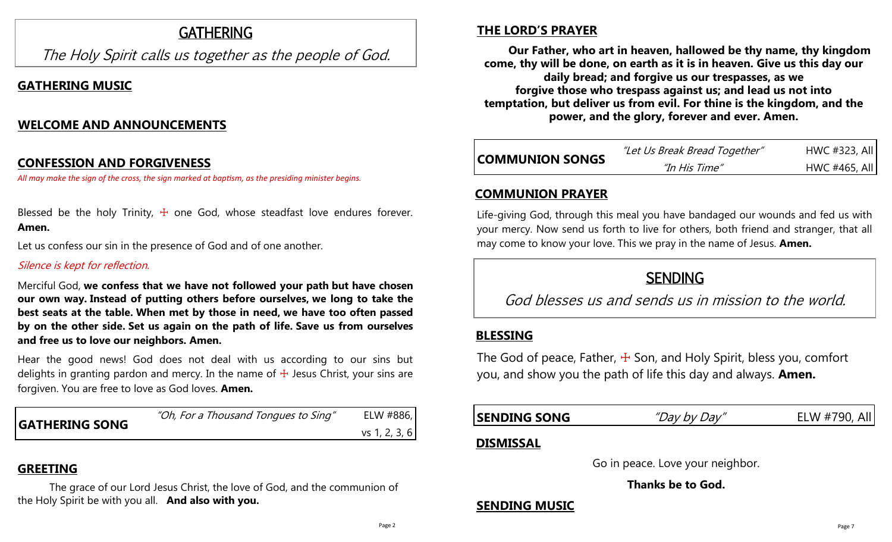# **GATHERING**

The Holy Spirit calls us together as the people of God.

# **GATHERING MUSIC**

# **WELCOME AND ANNOUNCEMENTS**

#### **CONFESSION AND FORGIVENESS**

*All may make the sign of the cross, the sign marked at baptism, as the presiding minister begins.*

Blessed be the holy Trinity,  $\pm$  one God, whose steadfast love endures forever. **Amen.**

Let us confess our sin in the presence of God and of one another.

#### Silence is kept for reflection.

Merciful God, **we confess that we have not followed your path but have chosen our own way. Instead of putting others before ourselves, we long to take the best seats at the table. When met by those in need, we have too often passed by on the other side. Set us again on the path of life. Save us from ourselves and free us to love our neighbors. Amen.**

Hear the good news! God does not deal with us according to our sins but delights in granting pardon and mercy. In the name of  $+$  Jesus Christ, your sins are forgiven. You are free to love as God loves. **Amen.**

|                       | "Oh, For a Thousand Tongues to Sing" | ELW #886,     |
|-----------------------|--------------------------------------|---------------|
| <b>GATHERING SONG</b> |                                      | vs 1, 2, 3, 6 |

# **GREETING**

The grace of our Lord Jesus Christ, the love of God, and the communion of the Holy Spirit be with you all. **And also with you.**

# **THE LORD'S PRAYER**

**Our Father, who art in heaven, hallowed be thy name, thy kingdom come, thy will be done, on earth as it is in heaven. Give us this day our daily bread; and forgive us our trespasses, as we forgive those who trespass against us; and lead us not into temptation, but deliver us from evil. For thine is the kingdom, and the power, and the glory, forever and ever. Amen.**

| <b>COMMUNION SONGS</b> | "Let Us Break Bread Together" | HWC #323, All |
|------------------------|-------------------------------|---------------|
|                        | "In His Time"                 | HWC #465, All |

# **COMMUNION PRAYER**

Life-giving God, through this meal you have bandaged our wounds and fed us with your mercy. Now send us forth to live for others, both friend and stranger, that all may come to know your love. This we pray in the name of Jesus. **Amen.**

# **SENDING**

God blesses us and sends us in mission to the world.

# **BLESSING**

The God of peace, Father,  $\pm$  Son, and Holy Spirit, bless you, comfort you, and show you the path of life this day and always. **Amen.**

# **SENDING SONG** "Day by Day" ELW #790, All

# **DISMISSAL**

Go in peace. Love your neighbor.

**Thanks be to God.**

# **SENDING MUSIC**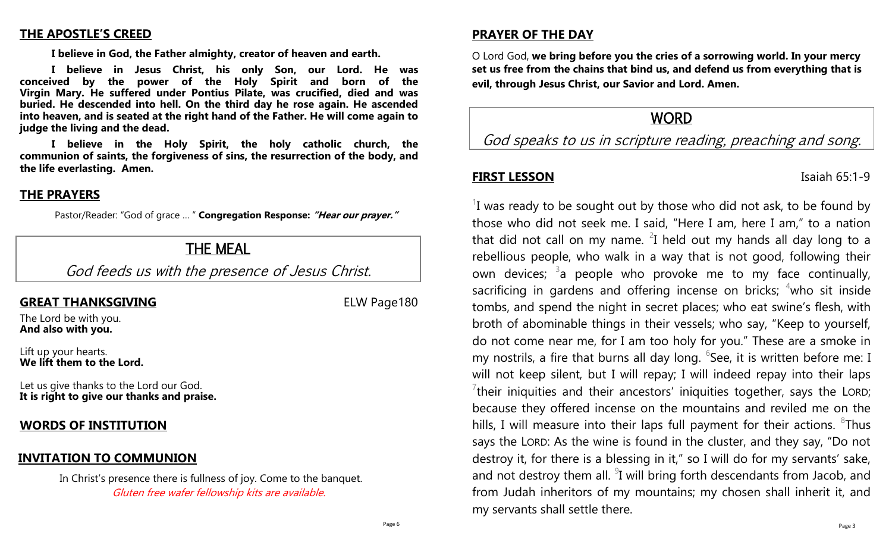#### **THE APOSTLE'S CREED**

**I believe in God, the Father almighty, creator of heaven and earth.**

**I believe in Jesus Christ, his only Son, our Lord. He was conceived by the power of the Holy Spirit and born of the Virgin Mary. He suffered under Pontius Pilate, was crucified, died and was buried. He descended into hell. On the third day he rose again. He ascended into heaven, and is seated at the right hand of the Father. He will come again to judge the living and the dead.**

**I believe in the Holy Spirit, the holy catholic church, the communion of saints, the forgiveness of sins, the resurrection of the body, and the life everlasting. Amen.**

#### **THE PRAYERS**

Pastor/Reader: "God of grace … " **Congregation Response: "Hear our prayer."**

# THE MEAL

God feeds us with the presence of Jesus Christ.

## **GREAT THANKSGIVING** ELW Page180

The Lord be with you. **And also with you.**

Lift up your hearts. **We lift them to the Lord.**

Let us give thanks to the Lord our God. **It is right to give our thanks and praise.**

# **WORDS OF INSTITUTION**

## **INVITATION TO COMMUNION**

In Christ's presence there is fullness of joy. Come to the banquet. Gluten free wafer fellowship kits are available.

## **PRAYER OF THE DAY**

O Lord God, **we bring before you the cries of a sorrowing world. In your mercy set us free from the chains that bind us, and defend us from everything that is evil, through Jesus Christ, our Savior and Lord. Amen.**

# WORD

God speaks to us in scripture reading, preaching and song.

#### **FIRST LESSON** Isaiah 65:1-9

 $1$  was ready to be sought out by those who did not ask, to be found by those who did not seek me. I said, "Here I am, here I am," to a nation that did not call on my name.  $2I$  held out my hands all day long to a rebellious people, who walk in a way that is not good, following their own devices; <sup>3</sup>a people who provoke me to my face continually, sacrificing in gardens and offering incense on bricks;  $4$ who sit inside tombs, and spend the night in secret places; who eat swine's flesh, with broth of abominable things in their vessels; who say, "Keep to yourself, do not come near me, for I am too holy for you." These are a smoke in my nostrils, a fire that burns all day long.  $6$ See, it is written before me: I will not keep silent, but I will repay; I will indeed repay into their laps  $7$ their iniquities and their ancestors' iniquities together, says the LORD; because they offered incense on the mountains and reviled me on the hills, I will measure into their laps full payment for their actions.  ${}^{8}$ Thus says the LORD: As the wine is found in the cluster, and they say, "Do not destroy it, for there is a blessing in it," so I will do for my servants' sake, and not destroy them all.  $9$ I will bring forth descendants from Jacob, and from Judah inheritors of my mountains; my chosen shall inherit it, and my servants shall settle there.